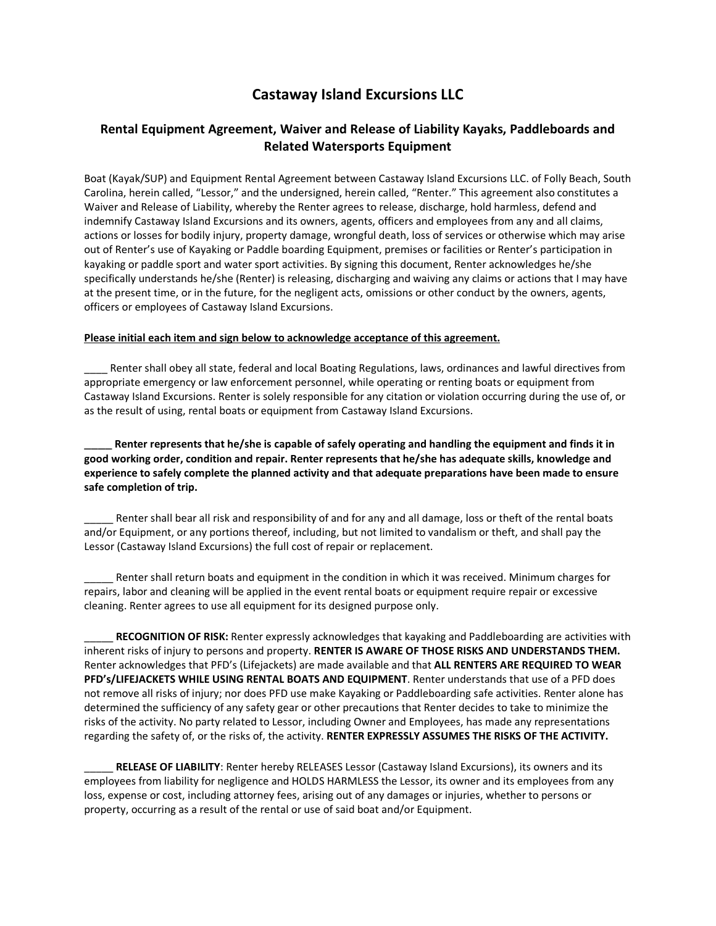## **Castaway Island Excursions LLC**

## **Rental Equipment Agreement, Waiver and Release of Liability Kayaks, Paddleboards and Related Watersports Equipment**

Boat (Kayak/SUP) and Equipment Rental Agreement between Castaway Island Excursions LLC. of Folly Beach, South Carolina, herein called, "Lessor," and the undersigned, herein called, "Renter." This agreement also constitutes a Waiver and Release of Liability, whereby the Renter agrees to release, discharge, hold harmless, defend and indemnify Castaway Island Excursions and its owners, agents, officers and employees from any and all claims, actions or losses for bodily injury, property damage, wrongful death, loss of services or otherwise which may arise out of Renter's use of Kayaking or Paddle boarding Equipment, premises or facilities or Renter's participation in kayaking or paddle sport and water sport activities. By signing this document, Renter acknowledges he/she specifically understands he/she (Renter) is releasing, discharging and waiving any claims or actions that I may have at the present time, or in the future, for the negligent acts, omissions or other conduct by the owners, agents, officers or employees of Castaway Island Excursions.

## **Please initial each item and sign below to acknowledge acceptance of this agreement.**

Renter shall obey all state, federal and local Boating Regulations, laws, ordinances and lawful directives from appropriate emergency or law enforcement personnel, while operating or renting boats or equipment from Castaway Island Excursions. Renter is solely responsible for any citation or violation occurring during the use of, or as the result of using, rental boats or equipment from Castaway Island Excursions.

Renter represents that he/she is capable of safely operating and handling the equipment and finds it in **good working order, condition and repair. Renter represents that he/she has adequate skills, knowledge and experience to safely complete the planned activity and that adequate preparations have been made to ensure safe completion of trip.** 

Renter shall bear all risk and responsibility of and for any and all damage, loss or theft of the rental boats and/or Equipment, or any portions thereof, including, but not limited to vandalism or theft, and shall pay the Lessor (Castaway Island Excursions) the full cost of repair or replacement.

Renter shall return boats and equipment in the condition in which it was received. Minimum charges for repairs, labor and cleaning will be applied in the event rental boats or equipment require repair or excessive cleaning. Renter agrees to use all equipment for its designed purpose only.

\_\_\_\_\_ **RECOGNITION OF RISK:** Renter expressly acknowledges that kayaking and Paddleboarding are activities with inherent risks of injury to persons and property. **RENTER IS AWARE OF THOSE RISKS AND UNDERSTANDS THEM.**  Renter acknowledges that PFD's (Lifejackets) are made available and that **ALL RENTERS ARE REQUIRED TO WEAR PFD's/LIFEJACKETS WHILE USING RENTAL BOATS AND EQUIPMENT**. Renter understands that use of a PFD does not remove all risks of injury; nor does PFD use make Kayaking or Paddleboarding safe activities. Renter alone has determined the sufficiency of any safety gear or other precautions that Renter decides to take to minimize the risks of the activity. No party related to Lessor, including Owner and Employees, has made any representations regarding the safety of, or the risks of, the activity. **RENTER EXPRESSLY ASSUMES THE RISKS OF THE ACTIVITY.**

\_\_\_\_\_ **RELEASE OF LIABILITY**: Renter hereby RELEASES Lessor (Castaway Island Excursions), its owners and its employees from liability for negligence and HOLDS HARMLESS the Lessor, its owner and its employees from any loss, expense or cost, including attorney fees, arising out of any damages or injuries, whether to persons or property, occurring as a result of the rental or use of said boat and/or Equipment.